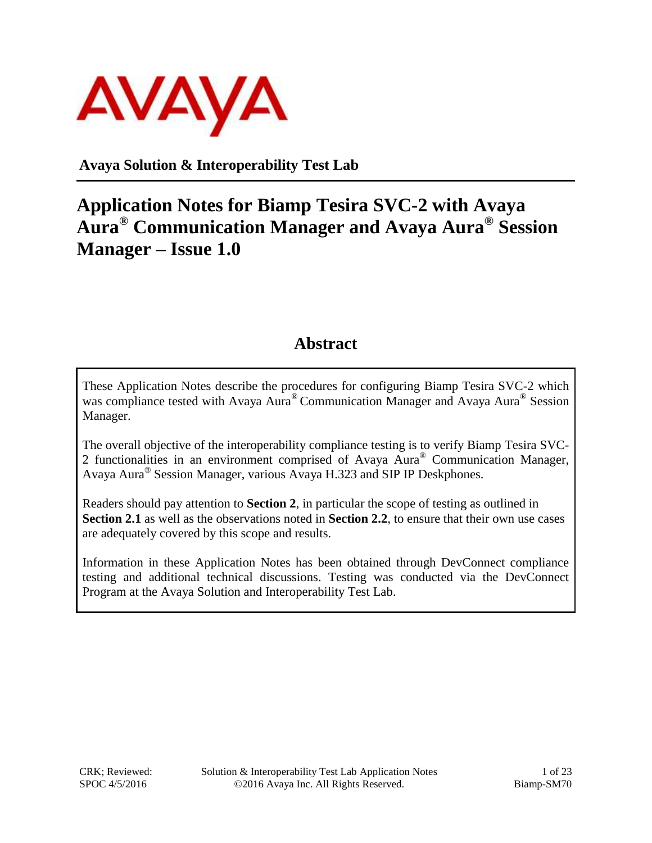

**Avaya Solution & Interoperability Test Lab**

## **Application Notes for Biamp Tesira SVC-2 with Avaya Aura® Communication Manager and Avaya Aura® Session Manager – Issue 1.0**

#### **Abstract**

These Application Notes describe the procedures for configuring Biamp Tesira SVC-2 which was compliance tested with Avaya Aura® Communication Manager and Avaya Aura® Session Manager.

The overall objective of the interoperability compliance testing is to verify Biamp Tesira SVC-2 functionalities in an environment comprised of Avaya Aura® Communication Manager, Avaya Aura® Session Manager, various Avaya H.323 and SIP IP Deskphones.

Readers should pay attention to **Section 2**, in particular the scope of testing as outlined in **Section 2.1** as well as the observations noted in **Section 2.2**, to ensure that their own use cases are adequately covered by this scope and results.

Information in these Application Notes has been obtained through DevConnect compliance testing and additional technical discussions. Testing was conducted via the DevConnect Program at the Avaya Solution and Interoperability Test Lab.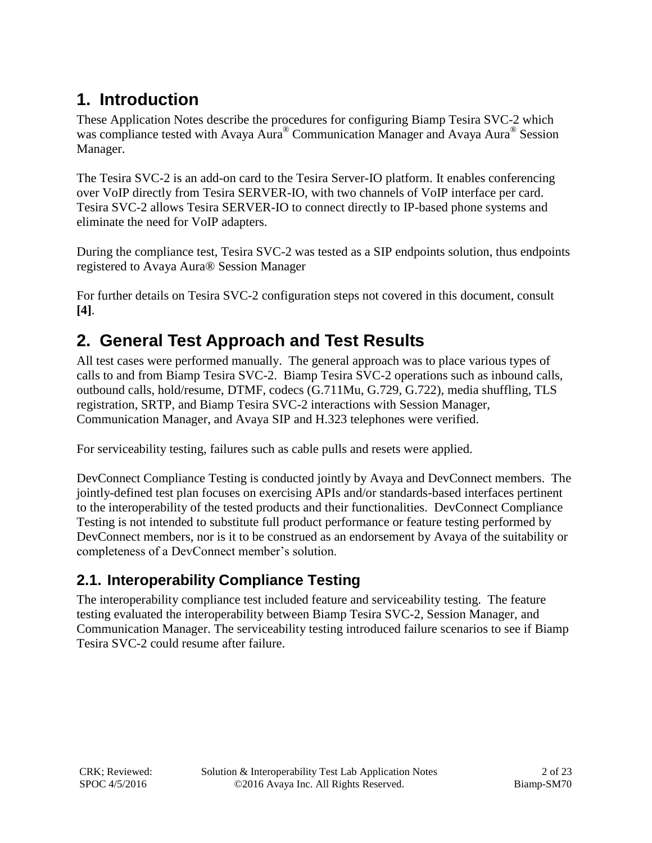## **1. Introduction**

These Application Notes describe the procedures for configuring Biamp Tesira SVC-2 which was compliance tested with Avaya Aura® Communication Manager and Avaya Aura® Session Manager.

The Tesira SVC-2 is an add-on card to the Tesira Server-IO platform. It enables conferencing over VoIP directly from Tesira SERVER-IO, with two channels of VoIP interface per card. Tesira SVC-2 allows Tesira SERVER-IO to connect directly to IP-based phone systems and eliminate the need for VoIP adapters.

During the compliance test, Tesira SVC-2 was tested as a SIP endpoints solution, thus endpoints registered to Avaya Aura® Session Manager

For further details on Tesira SVC-2 configuration steps not covered in this document, consult **[4]**.

### **2. General Test Approach and Test Results**

All test cases were performed manually. The general approach was to place various types of calls to and from Biamp Tesira SVC-2. Biamp Tesira SVC-2 operations such as inbound calls, outbound calls, hold/resume, DTMF, codecs (G.711Mu, G.729, G.722), media shuffling, TLS registration, SRTP, and Biamp Tesira SVC-2 interactions with Session Manager, Communication Manager, and Avaya SIP and H.323 telephones were verified.

For serviceability testing, failures such as cable pulls and resets were applied.

DevConnect Compliance Testing is conducted jointly by Avaya and DevConnect members. The jointly-defined test plan focuses on exercising APIs and/or standards-based interfaces pertinent to the interoperability of the tested products and their functionalities. DevConnect Compliance Testing is not intended to substitute full product performance or feature testing performed by DevConnect members, nor is it to be construed as an endorsement by Avaya of the suitability or completeness of a DevConnect member's solution.

### **2.1. Interoperability Compliance Testing**

The interoperability compliance test included feature and serviceability testing. The feature testing evaluated the interoperability between Biamp Tesira SVC-2, Session Manager, and Communication Manager. The serviceability testing introduced failure scenarios to see if Biamp Tesira SVC-2 could resume after failure.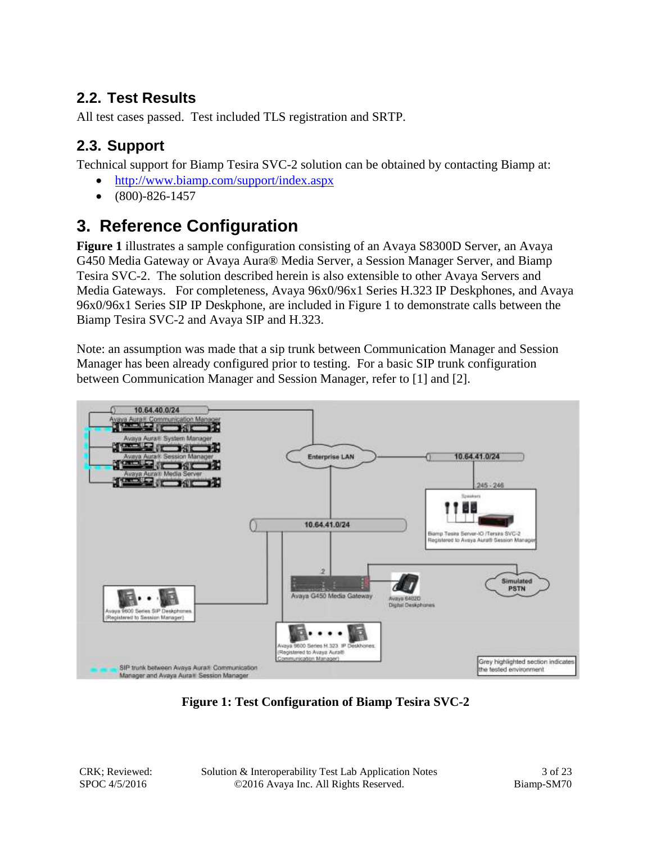### **2.2. Test Results**

All test cases passed. Test included TLS registration and SRTP.

### **2.3. Support**

Technical support for Biamp Tesira SVC-2 solution can be obtained by contacting Biamp at:

- <http://www.biamp.com/support/index.aspx>
- $\bullet$  (800)-826-1457

## **3. Reference Configuration**

**Figure 1** illustrates a sample configuration consisting of an Avaya S8300D Server, an Avaya G450 Media Gateway or Avaya Aura® Media Server, a Session Manager Server, and Biamp Tesira SVC-2. The solution described herein is also extensible to other Avaya Servers and Media Gateways. For completeness, Avaya 96x0/96x1 Series H.323 IP Deskphones, and Avaya 96x0/96x1 Series SIP IP Deskphone, are included in Figure 1 to demonstrate calls between the Biamp Tesira SVC-2 and Avaya SIP and H.323.

Note: an assumption was made that a sip trunk between Communication Manager and Session Manager has been already configured prior to testing. For a basic SIP trunk configuration between Communication Manager and Session Manager, refer to [1] and [2].



**Figure 1: Test Configuration of Biamp Tesira SVC-2**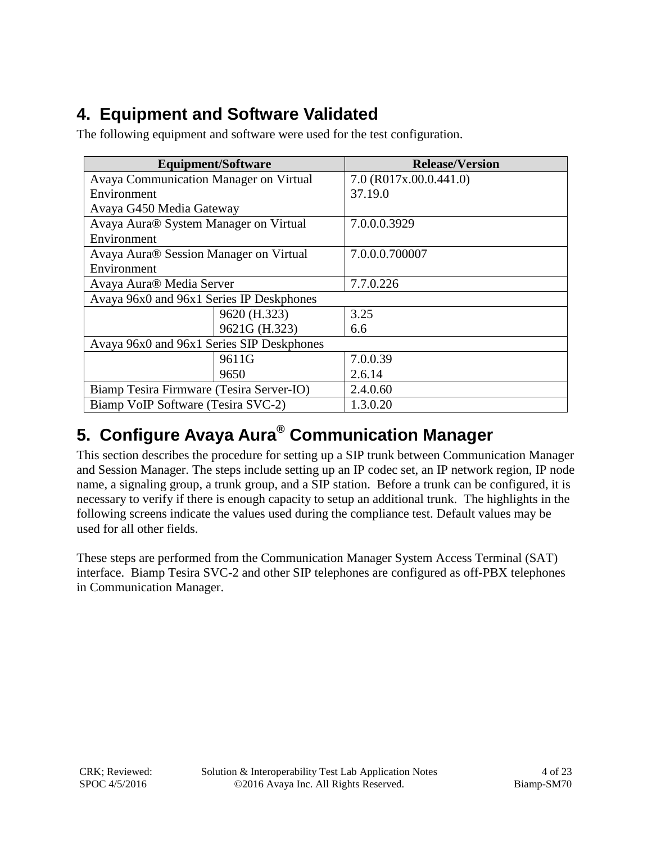## **4. Equipment and Software Validated**

The following equipment and software were used for the test configuration.

|                                                    | <b>Equipment/Software</b> | <b>Release/Version</b> |  |  |  |  |
|----------------------------------------------------|---------------------------|------------------------|--|--|--|--|
| <b>Avaya Communication Manager on Virtual</b>      |                           | 7.0 (R017x.00.0.441.0) |  |  |  |  |
| Environment                                        |                           | 37.19.0                |  |  |  |  |
| Avaya G450 Media Gateway                           |                           |                        |  |  |  |  |
| Avaya Aura® System Manager on Virtual              |                           | 7.0.0.0.3929           |  |  |  |  |
| Environment                                        |                           |                        |  |  |  |  |
| Avaya Aura <sup>®</sup> Session Manager on Virtual |                           | 7.0.0.0.700007         |  |  |  |  |
| Environment                                        |                           |                        |  |  |  |  |
| Avaya Aura <sup>®</sup> Media Server               |                           | 7.7.0.226              |  |  |  |  |
| Avaya 96x0 and 96x1 Series IP Deskphones           |                           |                        |  |  |  |  |
|                                                    | 9620 (H.323)              | 3.25                   |  |  |  |  |
|                                                    | 9621G (H.323)             | 6.6                    |  |  |  |  |
| Avaya 96x0 and 96x1 Series SIP Deskphones          |                           |                        |  |  |  |  |
|                                                    | 9611G                     | 7.0.0.39               |  |  |  |  |
|                                                    | 9650                      | 2.6.14                 |  |  |  |  |
| Biamp Tesira Firmware (Tesira Server-IO)           |                           | 2.4.0.60               |  |  |  |  |
| Biamp VoIP Software (Tesira SVC-2)                 |                           | 1.3.0.20               |  |  |  |  |

## **5. Configure Avaya Aura® Communication Manager**

This section describes the procedure for setting up a SIP trunk between Communication Manager and Session Manager. The steps include setting up an IP codec set, an IP network region, IP node name, a signaling group, a trunk group, and a SIP station. Before a trunk can be configured, it is necessary to verify if there is enough capacity to setup an additional trunk. The highlights in the following screens indicate the values used during the compliance test. Default values may be used for all other fields.

These steps are performed from the Communication Manager System Access Terminal (SAT) interface. Biamp Tesira SVC-2 and other SIP telephones are configured as off-PBX telephones in Communication Manager.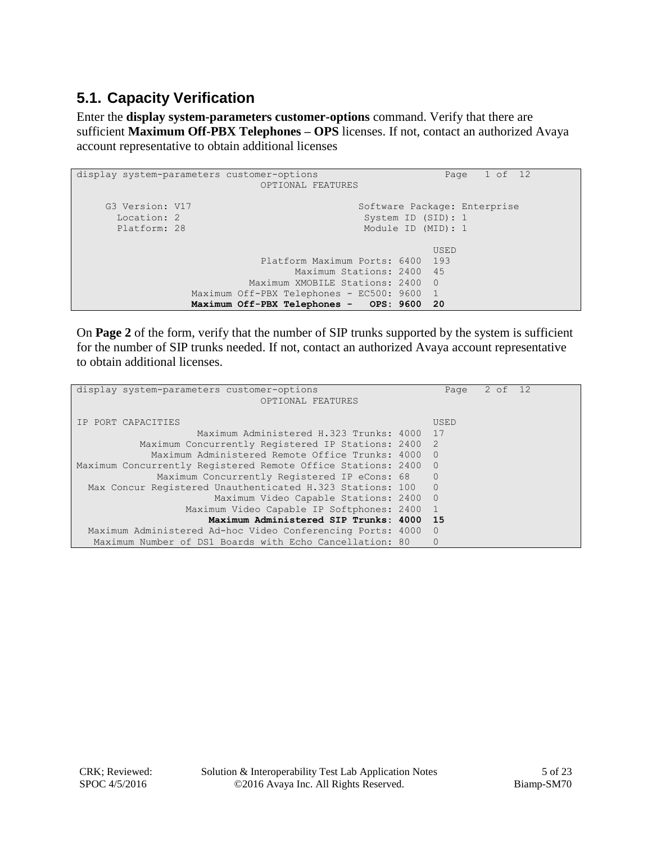### **5.1. Capacity Verification**

Enter the **display system-parameters customer-options** command. Verify that there are sufficient **Maximum Off-PBX Telephones – OPS** licenses. If not, contact an authorized Avaya account representative to obtain additional licenses

```
display system-parameters customer-options Page 1 of 12
                           OPTIONAL FEATURES
    G3 Version: V17 Software Package: Enterprise
     Location: 2 System ID (SID): 1
     Platform: 28 Module ID (MID): 1
U , the contract of U , the contract of U , the contract of U , the contract of U . USED
                           Platform Maximum Ports: 6400 193
                               Maximum Stations: 2400 45
                         Maximum XMOBILE Stations: 2400 0
                Maximum Off-PBX Telephones - EC500: 9600 1
                 Maximum Off-PBX Telephones - OPS: 9600 20
```
On **Page 2** of the form, verify that the number of SIP trunks supported by the system is sufficient for the number of SIP trunks needed. If not, contact an authorized Avaya account representative to obtain additional licenses.

| display system-parameters customer-options                   | Page           | 2 of 12 |  |
|--------------------------------------------------------------|----------------|---------|--|
| OPTIONAL FEATURES                                            |                |         |  |
|                                                              |                |         |  |
| IP PORT CAPACITIES                                           | USED           |         |  |
| Maximum Administered H.323 Trunks: 4000 17                   |                |         |  |
| Maximum Concurrently Registered IP Stations: 2400            | 2              |         |  |
| Maximum Administered Remote Office Trunks: 4000              | $\cap$         |         |  |
| Maximum Concurrently Registered Remote Office Stations: 2400 | $\overline{0}$ |         |  |
| Maximum Concurrently Registered IP eCons: 68                 | $\Omega$       |         |  |
| Max Concur Registered Unauthenticated H.323 Stations: 100    | $\overline{0}$ |         |  |
| Maximum Video Capable Stations: 2400                         | $\Omega$       |         |  |
| Maximum Video Capable IP Softphones: 2400                    |                |         |  |
| Maximum Administered SIP Trunks: 4000                        | -15            |         |  |
| Maximum Administered Ad-hoc Video Conferencing Ports: 4000   | $\Omega$       |         |  |
| Maximum Number of DS1 Boards with Echo Cancellation: 80      | $\Omega$       |         |  |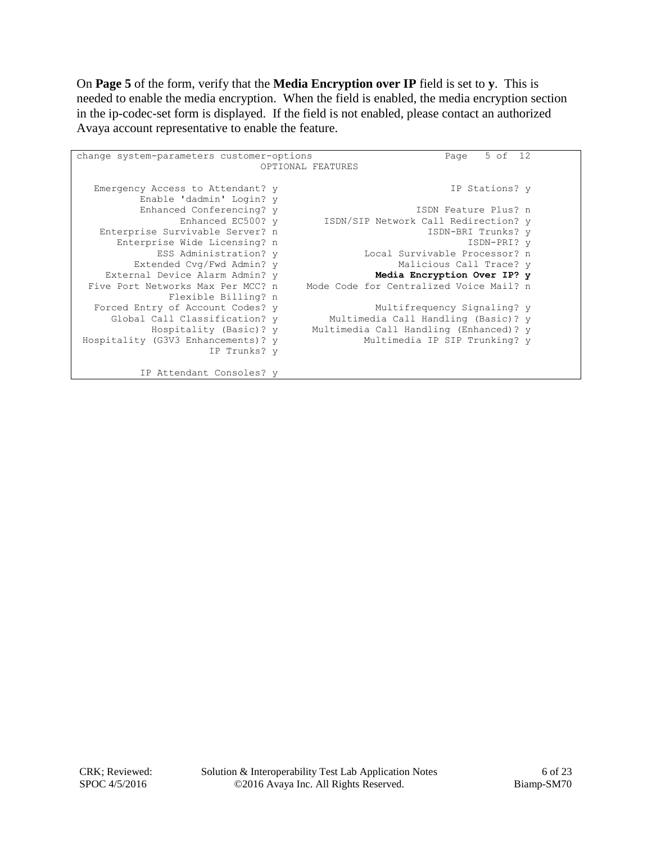On **Page 5** of the form, verify that the **Media Encryption over IP** field is set to **y**. This is needed to enable the media encryption. When the field is enabled, the media encryption section in the ip-codec-set form is displayed. If the field is not enabled, please contact an authorized Avaya account representative to enable the feature.

| change system-parameters customer-options | 5 of 12<br>Page                         |
|-------------------------------------------|-----------------------------------------|
|                                           | OPTIONAL FEATURES                       |
|                                           |                                         |
| Emergency Access to Attendant? y          | IP Stations? v                          |
| Enable 'dadmin' Login? y                  |                                         |
| Enhanced Conferencing? y                  | ISDN Feature Plus? n                    |
| Enhanced EC500? y                         | ISDN/SIP Network Call Redirection? y    |
| Enterprise Survivable Server? n           | ISDN-BRI Trunks? v                      |
| Enterprise Wide Licensing? n              | ISDN-PRI? v                             |
| ESS Administration? y                     | Local Survivable Processor? n           |
| Extended Cvg/Fwd Admin? y                 | Malicious Call Trace? v                 |
| External Device Alarm Admin? y            | Media Encryption Over IP? y             |
| Five Port Networks Max Per MCC? n         | Mode Code for Centralized Voice Mail? n |
| Flexible Billing? n                       |                                         |
| Forced Entry of Account Codes? y          | Multifrequency Signaling? y             |
| Global Call Classification? y             | Multimedia Call Handling (Basic)? y     |
| Hospitality (Basic)? y                    | Multimedia Call Handling (Enhanced)? y  |
| Hospitality (G3V3 Enhancements)? y        | Multimedia IP SIP Trunking? y           |
|                                           |                                         |
| IP Trunks? y                              |                                         |
| IP Attendant Consoles? y                  |                                         |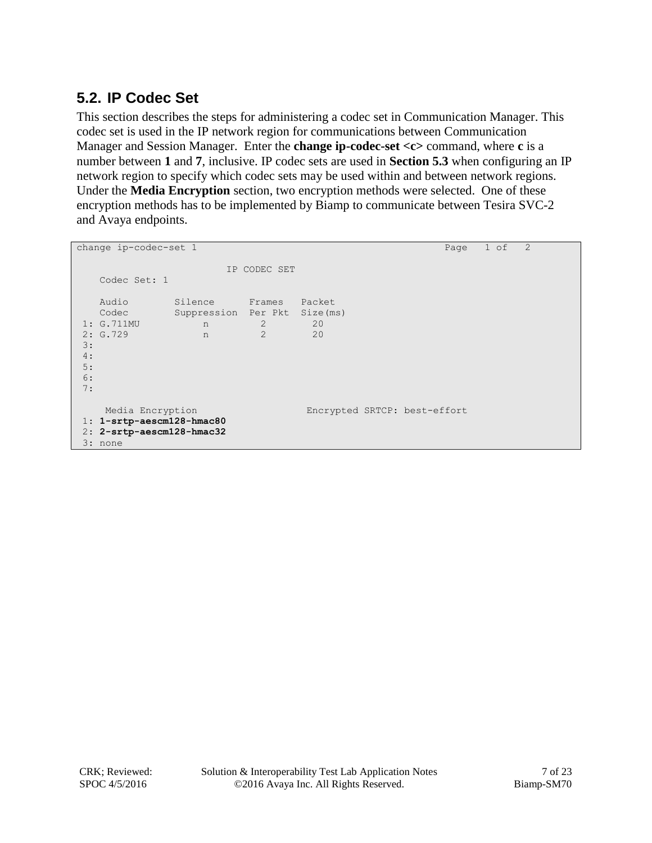### **5.2. IP Codec Set**

This section describes the steps for administering a codec set in Communication Manager. This codec set is used in the IP network region for communications between Communication Manager and Session Manager. Enter the **change ip-codec-set <c>** command, where **c** is a number between **1** and **7**, inclusive. IP codec sets are used in **Section 5.3** when configuring an IP network region to specify which codec sets may be used within and between network regions. Under the **Media Encryption** section, two encryption methods were selected. One of these encryption methods has to be implemented by Biamp to communicate between Tesira SVC-2 and Avaya endpoints.

```
change ip-codec-set 1 Page 1 of 2
                   IP CODEC SET
   Codec Set: 1
 Audio Silence Frames Packet
 Codec Suppression Per Pkt Size(ms)
1: G.711MU n 2 20
1: G.711MU n 2 20<br>
2: G.729 n 2 20
3:
4:
5:
6:
7:
    Media Encryption Encrypted SRTCP: best-effort
1: 1-srtp-aescm128-hmac80
2: 2-srtp-aescm128-hmac32
3: none
```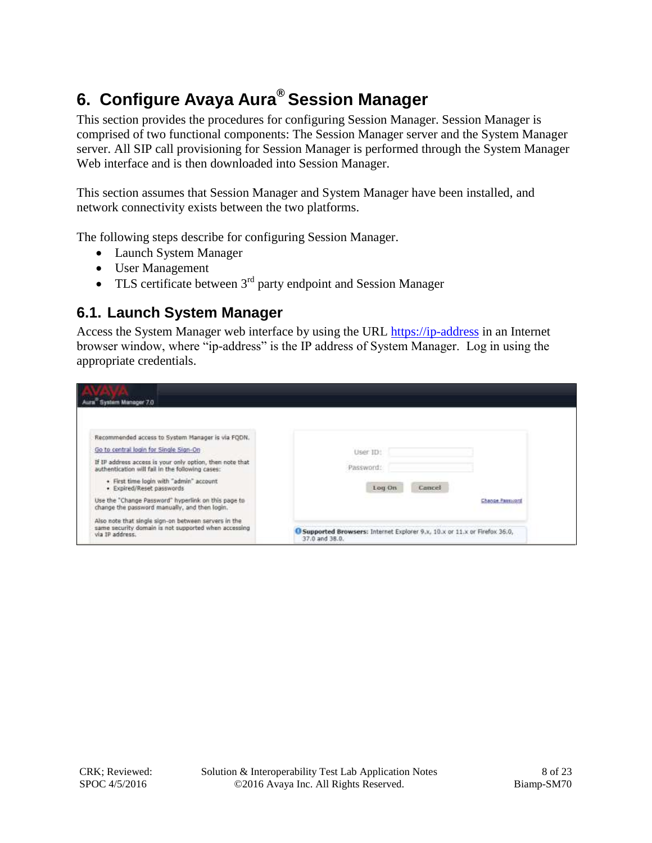# **6. Configure Avaya Aura® Session Manager**

This section provides the procedures for configuring Session Manager. Session Manager is comprised of two functional components: The Session Manager server and the System Manager server. All SIP call provisioning for Session Manager is performed through the System Manager Web interface and is then downloaded into Session Manager.

This section assumes that Session Manager and System Manager have been installed, and network connectivity exists between the two platforms.

The following steps describe for configuring Session Manager.

- Launch System Manager
- User Management
- $\bullet$  TLS certificate between  $3<sup>rd</sup>$  party endpoint and Session Manager

#### **6.1. Launch System Manager**

Access the System Manager web interface by using the URL [https://ip-address](https://ip-address/) in an Internet browser window, where "ip-address" is the IP address of System Manager. Log in using the appropriate credentials.

| Aura <sup>System</sup> Manager 7.0                                                                                              |                                                                                              |                 |
|---------------------------------------------------------------------------------------------------------------------------------|----------------------------------------------------------------------------------------------|-----------------|
| Recommended access to System Manager is via FODN.                                                                               |                                                                                              |                 |
| Go to central login for Single Sign-On                                                                                          | User ID!                                                                                     |                 |
| If IP address access is your only option, then note that<br>authentication will fail in the following cases:                    | Password:                                                                                    |                 |
| + First time login with "admin" account<br>· Expired/Reset passwords                                                            | Cancel<br>Log On                                                                             |                 |
| Use the "Change Password" hyperlink on this page to<br>change the password manually, and then login.                            |                                                                                              | Change Palmount |
| Also note that single sign-on between servers in the<br>same security domain is not supported when accessing<br>via IP address. | G Supported Browsers: Internet Explorer 9.x, 10.x or 11.x or Firefox 36.0,<br>37.0 and 38.0. |                 |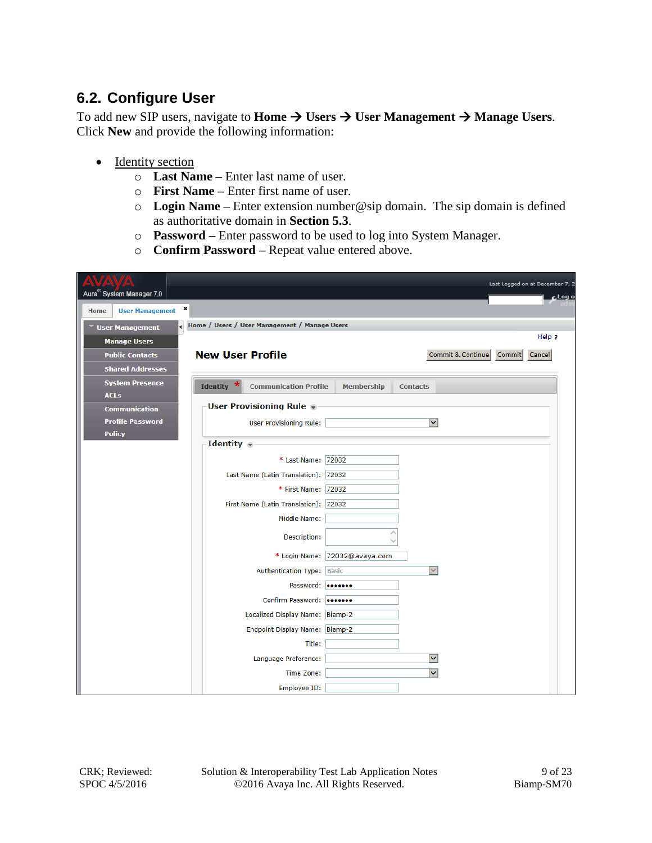#### **6.2. Configure User**

To add new SIP users, navigate to **Home**  $\rightarrow$  **Users**  $\rightarrow$  **User Management**  $\rightarrow$  **Manage Users**. Click **New** and provide the following information:

- Identity section
	- o **Last Name –** Enter last name of user.
	- o **First Name –** Enter first name of user.
	- o **Login Name –** Enter extension number@sip domain. The sip domain is defined as authoritative domain in **Section 5.3**.
	- o **Password –** Enter password to be used to log into System Manager.
	- o **Confirm Password –** Repeat value entered above.

| Aura <sup>®</sup> System Manager 7.0<br>×<br><b>User Management</b><br>Home |                         |                                                             |                               |                 |                         | Last Logged on at December 7, 2<br><sub>c</sub> Log o |
|-----------------------------------------------------------------------------|-------------------------|-------------------------------------------------------------|-------------------------------|-----------------|-------------------------|-------------------------------------------------------|
| ▼ User Management                                                           |                         | Home / Users / User Management / Manage Users               |                               |                 |                         |                                                       |
| <b>Manage Users</b>                                                         |                         |                                                             |                               |                 |                         | Help ?                                                |
| <b>Public Contacts</b>                                                      | <b>New User Profile</b> |                                                             |                               |                 | Commit & Continue       | Cancel<br><b>Commit</b>                               |
| <b>Shared Addresses</b>                                                     |                         |                                                             |                               |                 |                         |                                                       |
| <b>System Presence</b><br><b>ACLS</b>                                       | Identity $*$            | <b>Communication Profile</b>                                | <b>Membership</b>             | <b>Contacts</b> |                         |                                                       |
| <b>Communication</b>                                                        |                         | <b>User Provisioning Rule ®</b>                             |                               |                 |                         |                                                       |
| <b>Profile Password</b>                                                     |                         | <b>User Provisioning Rule:</b>                              |                               |                 | ▽                       |                                                       |
| <b>Policy</b>                                                               | Identity $\bullet$      |                                                             |                               |                 |                         |                                                       |
|                                                                             |                         | * Last Name: 72032                                          |                               |                 |                         |                                                       |
|                                                                             |                         |                                                             |                               |                 |                         |                                                       |
|                                                                             |                         | Last Name (Latin Translation): 72032<br>* First Name: 72032 |                               |                 |                         |                                                       |
|                                                                             |                         | First Name (Latin Translation): 72032                       |                               |                 |                         |                                                       |
|                                                                             |                         | Middle Name:                                                |                               |                 |                         |                                                       |
|                                                                             |                         |                                                             |                               | △               |                         |                                                       |
|                                                                             |                         | Description:                                                |                               |                 |                         |                                                       |
|                                                                             |                         |                                                             | * Login Name: 72032@avaya.com |                 |                         |                                                       |
|                                                                             |                         | Authentication Type: Basic                                  |                               |                 | $\checkmark$            |                                                       |
|                                                                             |                         | Password: 0000000                                           |                               |                 |                         |                                                       |
|                                                                             |                         | Confirm Password:                                           |                               |                 |                         |                                                       |
|                                                                             |                         | Localized Display Name: Biamp-2                             |                               |                 |                         |                                                       |
|                                                                             |                         | Endpoint Display Name: Biamp-2                              |                               |                 |                         |                                                       |
|                                                                             |                         | Title:                                                      |                               |                 |                         |                                                       |
|                                                                             |                         | Language Preference:                                        |                               |                 | $\overline{\mathsf{v}}$ |                                                       |
|                                                                             |                         | Time Zone:                                                  |                               |                 | $\checkmark$            |                                                       |
|                                                                             |                         | Employee ID:                                                |                               |                 |                         |                                                       |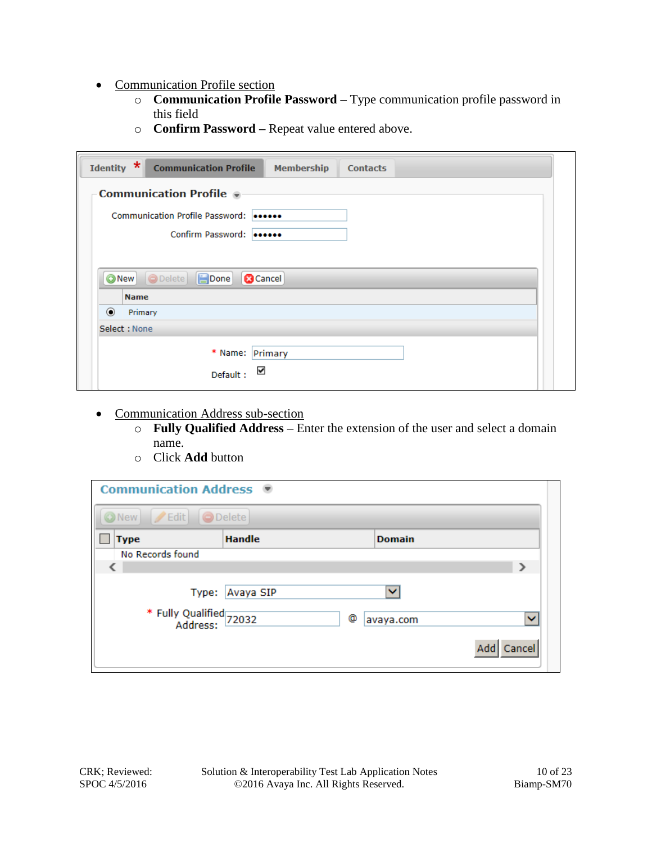- Communication Profile section
	- o **Communication Profile Password –** Type communication profile password in this field
	- o **Confirm Password –** Repeat value entered above.

| Identity *               | <b>Communication Profile</b><br><b>Membership</b><br><b>Contacts</b> |  |  |  |  |  |
|--------------------------|----------------------------------------------------------------------|--|--|--|--|--|
|                          | <b>Communication Profile</b>                                         |  |  |  |  |  |
|                          | Communication Profile Password:                                      |  |  |  |  |  |
| Confirm Password: 000000 |                                                                      |  |  |  |  |  |
|                          |                                                                      |  |  |  |  |  |
| <b>Name</b>              | $\Box$ Done<br>ONew ODelete<br><b>B</b> Cancel                       |  |  |  |  |  |
| $\odot$<br>Primary       |                                                                      |  |  |  |  |  |
| Select: None             |                                                                      |  |  |  |  |  |
|                          | * Name: Primary<br>$\checkmark$<br>Default:                          |  |  |  |  |  |

- Communication Address sub-section
	- o **Fully Qualified Address –** Enter the extension of the user and select a domain name.
	- o Click **Add** button

| Communication Address ●                 |                 |                |               |  |  |  |  |  |  |
|-----------------------------------------|-----------------|----------------|---------------|--|--|--|--|--|--|
| $\angle$ Edit<br><b>O</b> Delete<br>New |                 |                |               |  |  |  |  |  |  |
| <b>Type</b>                             | <b>Handle</b>   | <b>Domain</b>  |               |  |  |  |  |  |  |
| No Records found                        |                 |                |               |  |  |  |  |  |  |
|                                         |                 |                | э             |  |  |  |  |  |  |
|                                         | Type: Avaya SIP | ×.             |               |  |  |  |  |  |  |
| * Fully Qualified<br>Address: 72032     |                 | ۰<br>avaya.com | $\checkmark$  |  |  |  |  |  |  |
|                                         |                 |                | Cancel<br>Add |  |  |  |  |  |  |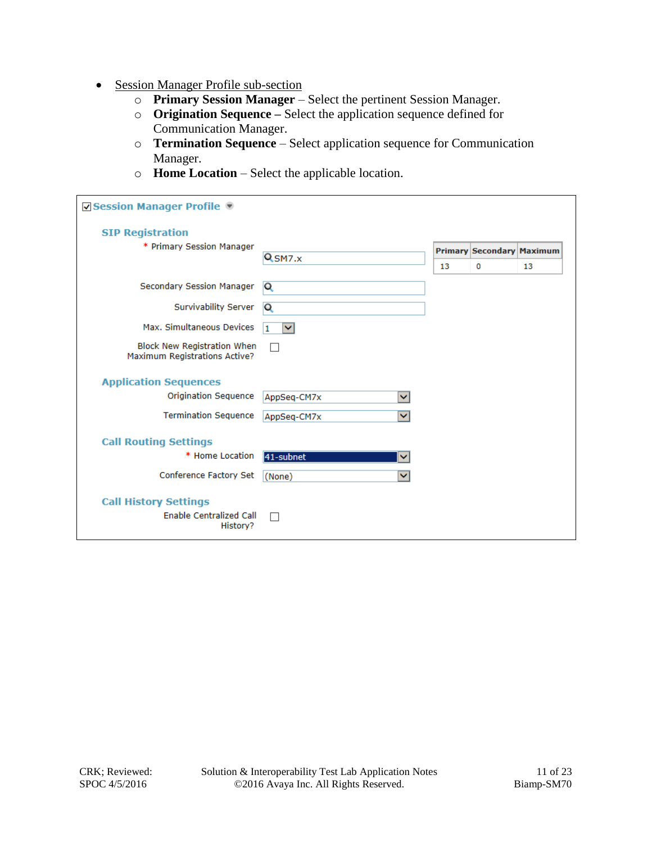- Session Manager Profile sub-section
	- o **Primary Session Manager** Select the pertinent Session Manager.
	- o **Origination Sequence –** Select the application sequence defined for Communication Manager.
	- o **Termination Sequence** Select application sequence for Communication Manager.
	- o **Home Location** Select the applicable location.

| ☑ Session Manager Profile                                           |                           |    |                                  |    |
|---------------------------------------------------------------------|---------------------------|----|----------------------------------|----|
| <b>SIP Registration</b>                                             |                           |    |                                  |    |
| * Primary Session Manager                                           |                           |    | <b>Primary Secondary Maximum</b> |    |
|                                                                     | Q <sub>SM7.x</sub>        | 13 | 0                                | 13 |
| Secondary Session Manager                                           | Q                         |    |                                  |    |
| Survivability Server                                                | Q                         |    |                                  |    |
| Max. Simultaneous Devices                                           | $\checkmark$<br>1         |    |                                  |    |
| <b>Block New Registration When</b><br>Maximum Registrations Active? | п                         |    |                                  |    |
| <b>Application Sequences</b>                                        |                           |    |                                  |    |
| <b>Origination Sequence</b>                                         | AppSeq-CM7x<br>v          |    |                                  |    |
| <b>Termination Sequence</b>                                         | v<br>AppSeq-CM7x          |    |                                  |    |
| <b>Call Routing Settings</b>                                        |                           |    |                                  |    |
| * Home Location                                                     | 41-subnet<br>$\checkmark$ |    |                                  |    |
| Conference Factory Set                                              | v<br>(None)               |    |                                  |    |
| <b>Call History Settings</b>                                        |                           |    |                                  |    |
| <b>Enable Centralized Call</b><br>History?                          | H                         |    |                                  |    |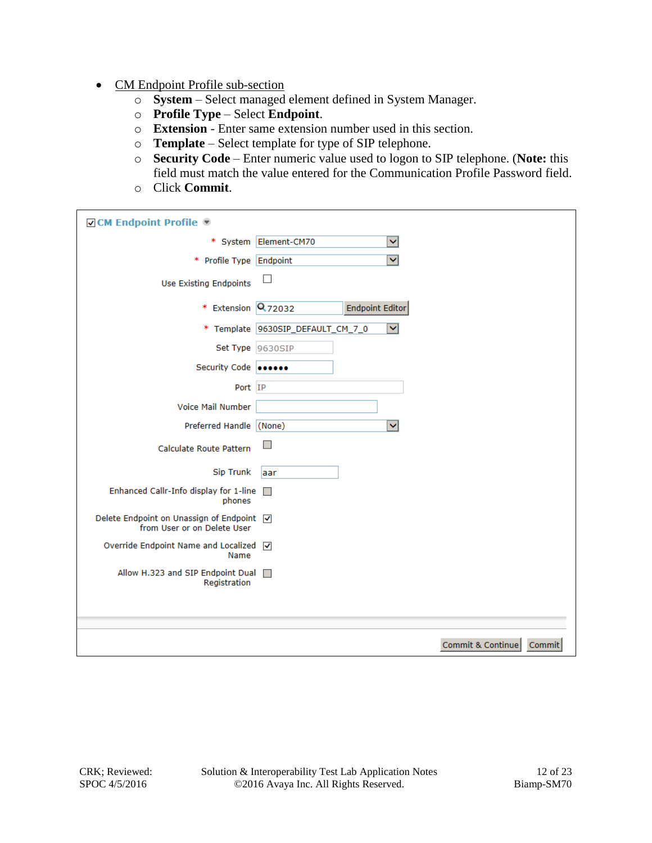- CM Endpoint Profile sub-section
	- o **System** Select managed element defined in System Manager.
	- o **Profile Type**  Select **Endpoint**.
	- o **Extension** Enter same extension number used in this section.
	- o **Template** Select template for type of SIP telephone.
	- o **Security Code** Enter numeric value used to logon to SIP telephone. (**Note:** this field must match the value entered for the Communication Profile Password field.
	- o Click **Commit**.

| <b>Ø CM Endpoint Profile</b> ®                                             |                                   |                         |                   |        |
|----------------------------------------------------------------------------|-----------------------------------|-------------------------|-------------------|--------|
| * System                                                                   | Element-CM70                      | Ÿ                       |                   |        |
| *<br>Profile Type                                                          | Endpoint                          | $\overline{\mathbf{v}}$ |                   |        |
| <b>Use Existing Endpoints</b>                                              | $\Box$                            |                         |                   |        |
| * Extension                                                                | Q <sub>72032</sub>                | <b>Endpoint Editor</b>  |                   |        |
|                                                                            | * Template 9630SIP_DEFAULT_CM_7_0 | $\checkmark$            |                   |        |
| Set Type 9630SIP                                                           |                                   |                         |                   |        |
| Security Code 000000                                                       |                                   |                         |                   |        |
| Port IP                                                                    |                                   |                         |                   |        |
| Voice Mail Number                                                          |                                   |                         |                   |        |
| Preferred Handle (None)                                                    |                                   | $\checkmark$            |                   |        |
| Calculate Route Pattern                                                    | $\Box$                            |                         |                   |        |
| <b>Sip Trunk</b>                                                           | laar                              |                         |                   |        |
| Enhanced Callr-Info display for 1-line<br>phones                           | $\Box$                            |                         |                   |        |
| Delete Endpoint on Unassign of Endpoint   √<br>from User or on Delete User |                                   |                         |                   |        |
| Override Endpoint Name and Localized<br>Name                               | $\overline{\mathbf{v}}$           |                         |                   |        |
| Allow H.323 and SIP Endpoint Dual<br>Registration                          | $\Box$                            |                         |                   |        |
|                                                                            |                                   |                         |                   |        |
|                                                                            |                                   |                         |                   |        |
|                                                                            |                                   |                         | Commit & Continue | Commit |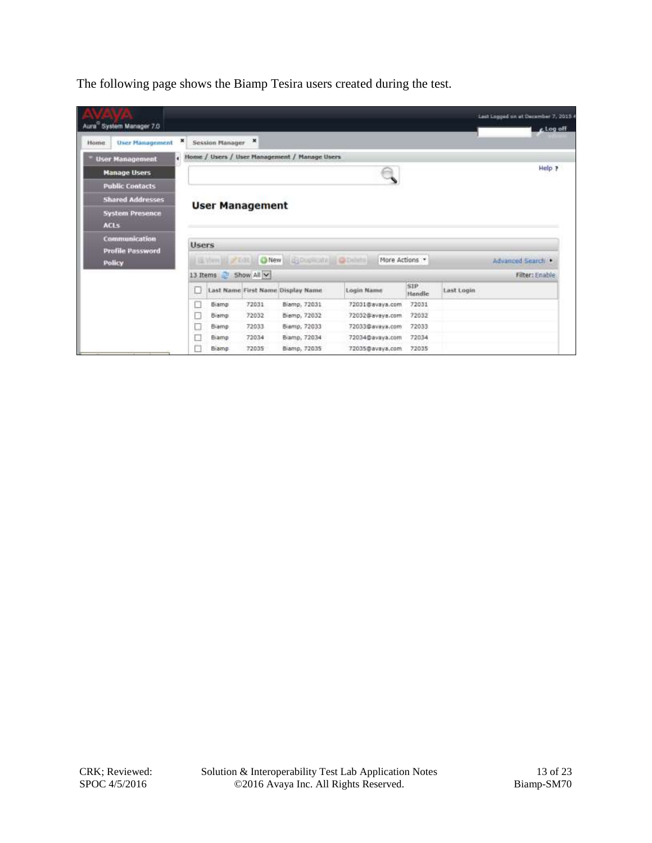The following page shows the Biamp Tesira users created during the test.

| Auna <sup>*</sup> System Manager 7.0     |              |                   |                        |                                               |                 |               |            | Last Logged on at December 7, 2015 4<br>$L$ log off |
|------------------------------------------|--------------|-------------------|------------------------|-----------------------------------------------|-----------------|---------------|------------|-----------------------------------------------------|
| <b>User Management</b><br>Home           | ×            | Session Manager X |                        |                                               |                 |               |            |                                                     |
| <b>User Management</b>                   | ۰            |                   |                        | Home / Users / User Management / Manage Users |                 |               |            |                                                     |
| <b>Manage Users</b>                      |              |                   |                        |                                               |                 |               |            | Help ?                                              |
| <b>Public Contacts</b>                   |              |                   |                        |                                               |                 |               |            |                                                     |
| <b>Shared Addresses</b>                  |              |                   |                        |                                               |                 |               |            |                                                     |
| <b>System Presence</b><br><b>ACLS</b>    |              |                   | <b>User Management</b> |                                               |                 |               |            |                                                     |
| Communication<br><b>Profile Password</b> | <b>Users</b> |                   |                        |                                               |                 |               |            |                                                     |
| <b>Policy</b>                            |              |                   |                        | E Yen II / Edt. ONew Ed Cupicate   O Delate   | More Actions *  |               |            | Advanced Search                                     |
|                                          |              |                   | 13 Items Show All ~    |                                               |                 |               |            | Filter: Enable                                      |
|                                          | U            |                   |                        | Last Name First Name Display Name             | Login Name      | SIP<br>Handle | Last Login |                                                     |
|                                          | Ω            | Biamp             | 72031                  | Biamp, 72031                                  | 72031@avaya.com | 72031         |            |                                                     |
|                                          | o            | Biamp             | 72032                  | Biemp, 72032                                  | 72032@aveva.com | 72032         |            |                                                     |
|                                          | u            | Biamp             | 72033                  | Biamp, 72033                                  | 72033@avaya.com | 72033         |            |                                                     |
|                                          | □            | Biamp             | 72034                  | Biamp, 72034                                  | 72034@avaya.com | 72034         |            |                                                     |
|                                          |              | Biamp             | 72035                  | Biamp, 72035                                  | 72035@avaya.com | 72035         |            |                                                     |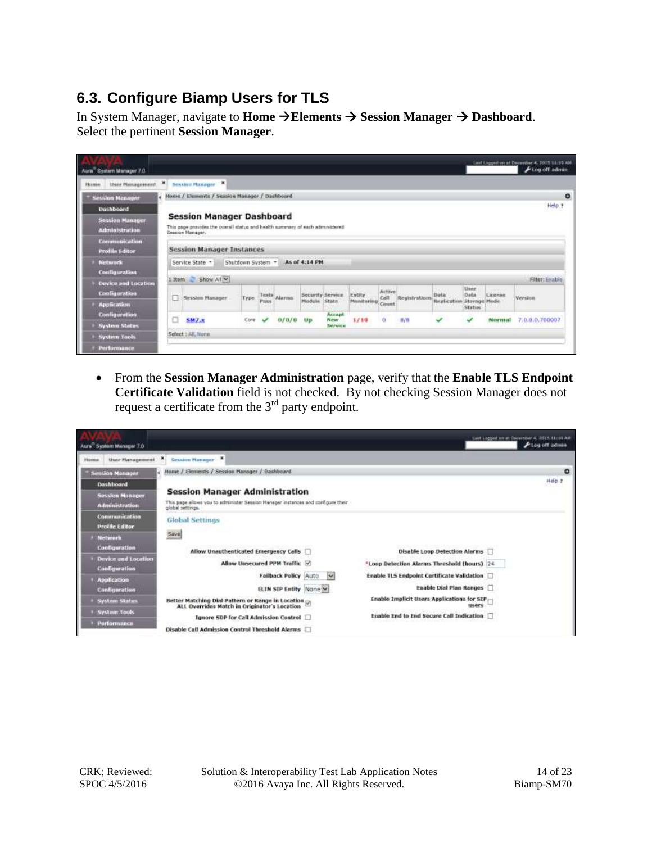### **6.3. Configure Biamp Users for TLS**

In System Manager, navigate to **Home Elements Session Manager Dashboard**. Select the pertinent **Session Manager**.

| Aura System Manager 7.0                         |    |                                                                                                                                       |       |      |              |                                 |                          |                      |                 |                      |                                         |                     |                            | Laut Loggest on at December 4, 2015 11:10 AM<br>FLog off admin |
|-------------------------------------------------|----|---------------------------------------------------------------------------------------------------------------------------------------|-------|------|--------------|---------------------------------|--------------------------|----------------------|-----------------|----------------------|-----------------------------------------|---------------------|----------------------------|----------------------------------------------------------------|
| User Planagement<br><b>Plysteries</b>           | ×  | ж<br>Session Hanager                                                                                                                  |       |      |              |                                 |                          |                      |                 |                      |                                         |                     |                            |                                                                |
| <b>Session Manager</b>                          | a. | Home / Elements / Session Hanager / Dashboard                                                                                         |       |      |              |                                 |                          |                      |                 |                      |                                         |                     |                            | $\circ$                                                        |
| <b>Dashboard</b>                                |    |                                                                                                                                       |       |      |              |                                 |                          |                      |                 |                      |                                         |                     |                            | Help P                                                         |
| <b>Session Manager</b><br><b>Administration</b> |    | <b>Session Manager Dashboard</b><br>This page provides the overall status and health summary of each administered<br>Session Hanager. |       |      |              |                                 |                          |                      |                 |                      |                                         |                     |                            |                                                                |
| Communication<br><b>Profile Editor</b>          |    | <b>Session Manager Instances</b>                                                                                                      |       |      |              |                                 |                          |                      |                 |                      |                                         |                     |                            |                                                                |
| <b>Network</b><br><b>Configuration</b>          |    | Service State -                                                                                                                       |       |      |              | Shutdown System - As of 4:14 PM |                          |                      |                 |                      |                                         |                     |                            |                                                                |
| Device and Location                             |    | 1 Item Show All Y                                                                                                                     |       |      |              |                                 |                          |                      |                 |                      |                                         |                     |                            | Filter: Enable                                                 |
| Coofiguration                                   | u  | Session Hanager                                                                                                                       | Type. |      | Tests Alarms | Security Service<br>Hodale      | State.                   | Entity<br>Monitoring | Active.<br>Call | <b>Segistrations</b> | Data<br><b>Replication Storage Mode</b> | <b>User</b><br>Data | <b>CARD COM</b><br>Eleense | Version                                                        |
| Application                                     |    |                                                                                                                                       |       | Pass |              |                                 |                          |                      | Count           |                      |                                         | <b>Status</b>       |                            |                                                                |
| <b>Configuration</b><br><b>System Status</b>    | u  | <b>SM7.x</b>                                                                                                                          | Core  |      |              | Up                              | Accept<br>New<br>Service | 1/10                 | ä.              | 封信                   | ✓                                       | ↵                   | Normal                     | 7.0.0.0.700007                                                 |
| System Tools                                    |    | Select : All, None                                                                                                                    |       |      |              |                                 |                          |                      |                 |                      |                                         |                     |                            |                                                                |
| Performance                                     |    |                                                                                                                                       |       |      |              |                                 |                          |                      |                 |                      |                                         |                     |                            |                                                                |

 From the **Session Manager Administration** page, verify that the **Enable TLS Endpoint Certificate Validation** field is not checked. By not checking Session Manager does not request a certificate from the  $3<sup>rd</sup>$  party endpoint.

| Aura System Manager 7.0                                                          |                                                                                                                                               | Last Logged for all December 4, 2013 11/10 AM<br>Flog off admin                     |
|----------------------------------------------------------------------------------|-----------------------------------------------------------------------------------------------------------------------------------------------|-------------------------------------------------------------------------------------|
| User Hanagement<br><b>Flience</b>                                                | 瀕<br>Sevalon Hanager W                                                                                                                        |                                                                                     |
| <b>Session Manager</b>                                                           | Home / Elements / Session Manager / Dashboard<br>×                                                                                            | ۰                                                                                   |
| Dashboard<br><b>Session Manager</b><br><b>Administration</b>                     | <b>Session Manager Administration</b><br>This page allows you to administer Session Hanager instances and configure their<br>global settings. | Help #                                                                              |
| <b>Communication</b><br><b>Protile Editor</b><br><b>Network</b><br>Coofiguration | <b>Global Settings</b><br>Saya                                                                                                                |                                                                                     |
| Device and Location<br>Coofiguration                                             | Allow Unauthenticated Emergency Calls<br>Allow Unsecured PPM Traffic V                                                                        | <b>Disable Loop Detection Alarms</b><br>*Loop Detection Alarms Threshold (hours) 24 |
| <b>Application</b><br>Configuration                                              | Failback Policy Auto<br>ELIN SIP Entity None Y                                                                                                | Enable TLS Endpoint Certificate Validation<br>×<br>Enable Dial Plan Ranges          |
| <b>System Status</b>                                                             | Better Matching Dial Pattern or Range in Location (2)<br>ALL Overrides Match in Originator's Location                                         | Enable Implicit Users Applications for SIP<br><b>MARKS</b>                          |
| <b>System Tools</b><br>Porformance                                               | Ignore SDP for Call Admission Control<br><b>Disable Call Admission Control Threshold Alarms</b>                                               | Enable End to End Secure Call Indication                                            |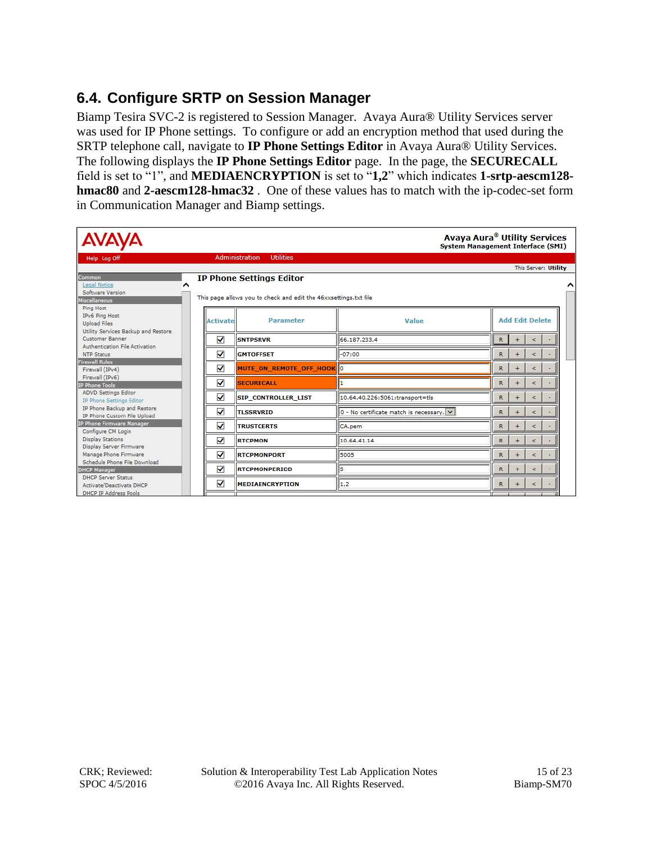### **6.4. Configure SRTP on Session Manager**

Biamp Tesira SVC-2 is registered to Session Manager. Avaya Aura® Utility Services server was used for IP Phone settings. To configure or add an encryption method that used during the SRTP telephone call, navigate to **IP Phone Settings Editor** in Avaya Aura® Utility Services. The following displays the **IP Phone Settings Editor** page. In the page, the **SECURECALL** field is set to "1", and **MEDIAENCRYPTION** is set to "**1,2**" which indicates **1-srtp-aescm128 hmac80** and **2-aescm128-hmac32** . One of these values has to match with the ip-codec-set form in Communication Manager and Biamp settings.

| <b>AVAYA</b>                                               |                 |                                                                  |                                          | Avaya Aura <sup>®</sup> Utility Services<br><b>System Management Interface (SMI)</b> |
|------------------------------------------------------------|-----------------|------------------------------------------------------------------|------------------------------------------|--------------------------------------------------------------------------------------|
| Help Log Off                                               |                 | <b>Administration</b><br><b>Utilities</b>                        |                                          |                                                                                      |
|                                                            |                 |                                                                  |                                          | This Server: Utility                                                                 |
| Common                                                     |                 | <b>IP Phone Settings Editor</b>                                  |                                          |                                                                                      |
| Legal Notice<br>^                                          |                 |                                                                  |                                          |                                                                                      |
| Software Version                                           |                 | This page allows you to check and edit the 46xxsettings.txt file |                                          |                                                                                      |
| Miscellaneous                                              |                 |                                                                  |                                          |                                                                                      |
| <b>Ping Host</b>                                           |                 |                                                                  |                                          |                                                                                      |
| IPv6 Ping Host                                             | <b>Activate</b> | <b>Parameter</b>                                                 | Value                                    | <b>Add Edit Delete</b>                                                               |
| <b>Upload Files</b><br>Utility Services Backup and Restore |                 |                                                                  |                                          |                                                                                      |
| <b>Customer Banner</b>                                     | ✓               | <b>SNTPSRVR</b>                                                  | 66.187.233.4                             | $\mathbb{R}$<br>$\ddot{}$<br>$\epsilon$                                              |
| Authentication File Activation                             |                 |                                                                  |                                          |                                                                                      |
| <b>NTP Status</b>                                          | ✓               | <b>GMTOFFSET</b>                                                 | $I-07:00$                                | R<br>$\ddot{}$<br>$\epsilon$                                                         |
| <b>Firewall Rules</b>                                      |                 |                                                                  |                                          |                                                                                      |
| Firewall (IPv4)                                            | ✓               | MUTE_ON_REMOTE_OFF_HOOK 0                                        |                                          | $\mathbb{R}$<br>$+$<br>$\epsilon$                                                    |
| Firewall (IPv6)                                            |                 |                                                                  |                                          |                                                                                      |
| <b>IP Phone Tools</b>                                      | ✓               | <b>SECURECALL</b>                                                |                                          | $\mathbb{R}$<br>$\ddot{}$<br>$\leq$                                                  |
| <b>ADVD Settings Editor</b>                                | ✓               | <b>SIP CONTROLLER LIST</b>                                       | 10.64.40.226:5061;transport=tls          | $\mathbb{R}$<br>$\ddot{}$<br>$\epsilon$                                              |
| IP Phone Settings Editor                                   |                 |                                                                  |                                          |                                                                                      |
| IP Phone Backup and Restore<br>IP Phone Custom File Upload | ✓               | <b>TLSSRVRID</b>                                                 | 0 - No certificate match is necessary. V | R<br>$\ddot{}$<br>$\epsilon$                                                         |
| IP Phone Firmware Manager                                  | ✓               | <b>TRUSTCERTS</b>                                                | CA.pem                                   | R<br>$\ddot{}$<br>$\leq$                                                             |
| Configure CM Login                                         |                 |                                                                  |                                          |                                                                                      |
| <b>Display Stations</b>                                    | ✔               | <b>RTCPMON</b>                                                   | 10.64.41.14                              | R<br>$\ddot{}$<br>$\leq$                                                             |
| <b>Display Server Firmware</b>                             |                 |                                                                  |                                          |                                                                                      |
| Manage Phone Firmware<br>Schedule Phone File Download      | ✓               | <b>RTCPMONPORT</b>                                               | 5005                                     | $\mathbb{R}$<br>$+$<br>$\rm <$                                                       |
| <b>DHCP Manager</b>                                        | ✓               | <b>RTCPMONPERIOD</b>                                             | 15                                       | $\mathbb{R}$<br>$\ddot{}$<br>$\epsilon$                                              |
| <b>DHCP Server Status</b>                                  |                 |                                                                  |                                          |                                                                                      |
| <b>Activate/Deactivate DHCP</b>                            | ✓               | MEDIAENCRYPTION                                                  | $\ 1,2\ $                                | R<br>$\epsilon$                                                                      |
| <b>DHCP IP Address Pools</b>                               |                 |                                                                  |                                          |                                                                                      |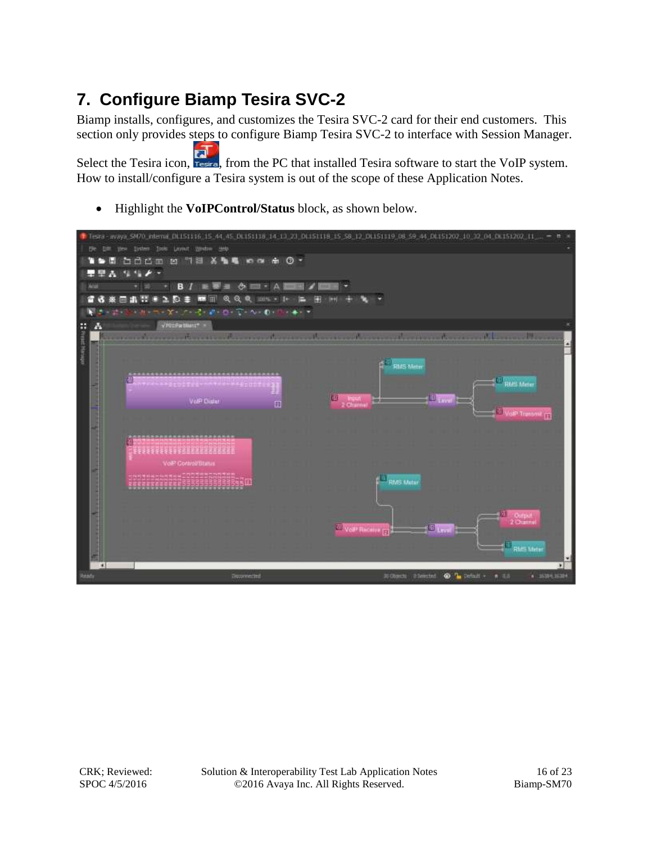## **7. Configure Biamp Tesira SVC-2**

Biamp installs, configures, and customizes the Tesira SVC-2 card for their end customers. This section only provides steps to configure Biamp Tesira SVC-2 to interface with Session Manager.

Select the Tesira icon, restra, from the PC that installed Tesira software to start the VoIP system. How to install/configure a Tesira system is out of the scope of these Application Notes.

Highlight the **VoIPControl/Status** block, as shown below.

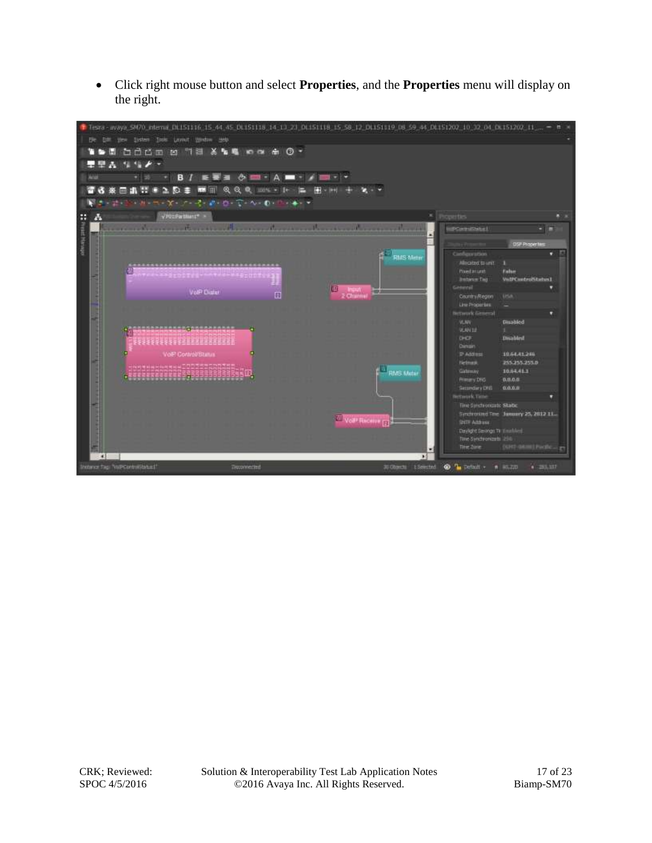Click right mouse button and select **Properties**, and the **Properties** menu will display on the right.

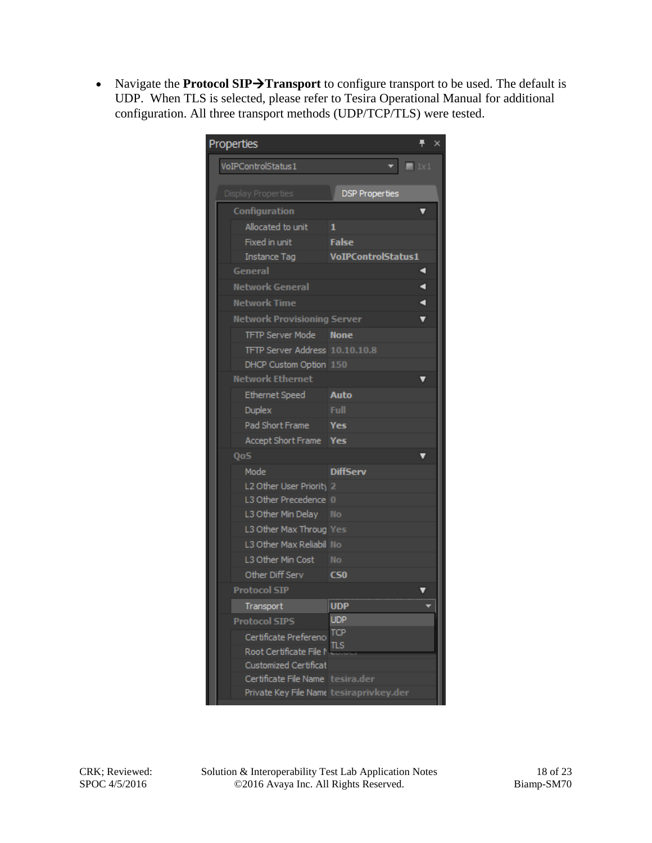• Navigate the **Protocol SIP**>Transport to configure transport to be used. The default is UDP. When TLS is selected, please refer to Tesira Operational Manual for additional configuration. All three transport methods (UDP/TCP/TLS) were tested.

| Properties                |                                    |                                                             |   | × |
|---------------------------|------------------------------------|-------------------------------------------------------------|---|---|
| VoIPControlStatus1        |                                    | $\mathbf{v}$ $\mathbf{v}$ and $\mathbf{v}$ and $\mathbf{v}$ |   |   |
| <b>Display Properties</b> |                                    | <b>DSP Properties</b>                                       |   |   |
| Configuration             |                                    |                                                             |   |   |
|                           | Allocated to unit                  | 1                                                           |   |   |
|                           | Fixed in unit                      | <b>False</b>                                                |   |   |
|                           | Instance Tag                       | <b>VoIPControlStatus1</b>                                   |   |   |
| General                   |                                    |                                                             |   |   |
|                           | <b>Network General</b>             |                                                             |   |   |
|                           | <b>Network Time</b>                |                                                             | ⅎ |   |
|                           | <b>Network Provisioning Server</b> |                                                             |   |   |
|                           | <b>TFTP Server Mode</b>            | <b>None</b>                                                 |   |   |
|                           | TFTP Server Address 10.10.10.8     |                                                             |   |   |
|                           | DHCP Custom Option 150             |                                                             |   |   |
|                           | <b>Network Ethernet</b>            |                                                             |   |   |
|                           | Ethernet Speed                     | Auto                                                        |   |   |
| Duplex                    |                                    | Full                                                        |   |   |
|                           | Pad Short Frame                    | Yes                                                         |   |   |
|                           | Accept Short Frame                 | <b>Yes</b>                                                  |   |   |
| QoS                       |                                    |                                                             |   |   |
| Mode                      |                                    | <b>DiffServ</b>                                             |   |   |
|                           | L2 Other User Priority 2           |                                                             |   |   |
|                           | L3 Other Precedence 0              |                                                             |   |   |
|                           | L3 Other Min Delay                 | <b>No</b>                                                   |   |   |
|                           | L3 Other Max Throug Yes            |                                                             |   |   |
|                           | L3 Other Max Reliabil No           |                                                             |   |   |
|                           | L3 Other Min Cost                  | <b>No</b>                                                   |   |   |
|                           | Other Diff Serv                    | C50                                                         |   |   |
| <b>Protocol SIP</b>       |                                    |                                                             |   |   |
|                           | Transport                          | <b>UDP</b>                                                  |   |   |
| <b>Protocol SIPS</b>      |                                    | <b>UDP</b>                                                  |   |   |
|                           | Certificate Prefereno              | <b>TCP</b>                                                  |   |   |
|                           | Root Certificate File N            | πs                                                          |   |   |
|                           | <b>Customized Certificat</b>       |                                                             |   |   |
|                           | Certificate File Name tesira.der   |                                                             |   |   |
|                           |                                    | Private Key File Name tesiraprivkey.der                     |   |   |

CRK; Reviewed: SPOC 4/5/2016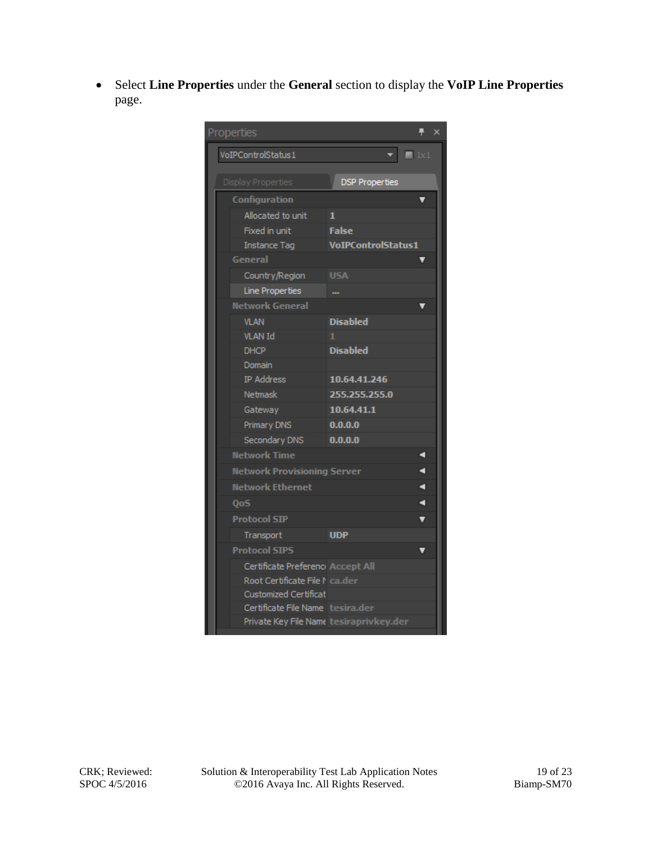Select **Line Properties** under the **General** section to display the **VoIP Line Properties** page.

| Properties                              | 루<br>$\times$             |  |
|-----------------------------------------|---------------------------|--|
| VoIPControlStatus1                      | $\mathbf{v}$ = 1x1        |  |
| Display Properties                      | <b>DSP Properties</b>     |  |
| Configuration                           |                           |  |
| Allocated to unit                       | 1                         |  |
| Fixed in unit                           | <b>False</b>              |  |
| <b>Instance Tag</b>                     | <b>VoIPControlStatus1</b> |  |
| General                                 |                           |  |
| Country/Region                          | <b>USA</b>                |  |
| Line Properties                         |                           |  |
| <b>Network General</b>                  |                           |  |
| <b>VLAN</b>                             | <b>Disabled</b>           |  |
| <b>VLAN Id</b>                          | 1.                        |  |
| <b>DHCP</b>                             | <b>Disabled</b>           |  |
| Domain                                  |                           |  |
| <b>IP Address</b>                       | 10.64.41.246              |  |
| Netmask                                 | 255.255.255.0             |  |
| Gateway                                 | 10.64.41.1                |  |
| Primary DNS                             | 0.0.0.0                   |  |
| Secondary DNS                           | 0.0.0.0                   |  |
| Network Time                            | ۹                         |  |
| <b>Network Provisioning Server</b>      | ٩                         |  |
| <b>Network Ethernet</b>                 | ٩                         |  |
| Qo <sub>S</sub>                         | ٩                         |  |
| <b>Protocol SIP</b>                     | v                         |  |
| Transport                               | <b>UDP</b>                |  |
| <b>Protocol SIPS</b>                    |                           |  |
| Certificate Prefereno Accept All        |                           |  |
| Root Certificate File N ca.der          |                           |  |
| <b>Customized Certificat</b>            |                           |  |
| Certificate File Name tesira.der        |                           |  |
| Private Key File Name tesiraprivkey.der |                           |  |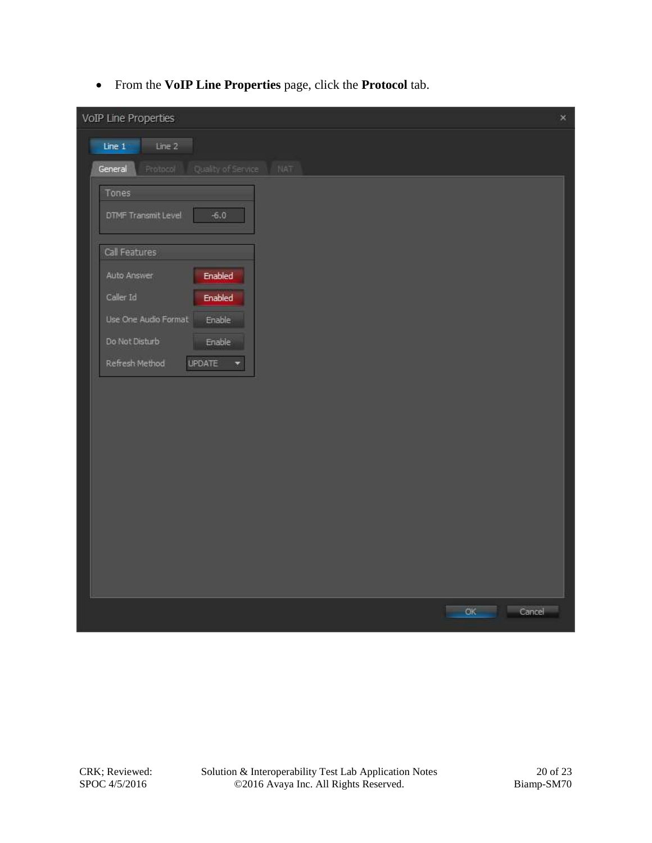From the **VoIP Line Properties** page, click the **Protocol** tab.

| VoIP Line Properties                             |         | $\times$ |
|--------------------------------------------------|---------|----------|
| Line 1<br>Line 2                                 |         |          |
| Protocol<br>Quality of Service<br>NAT<br>General |         |          |
| Tones                                            |         |          |
| DTMF Transmit Level<br>$-6.0$                    |         |          |
| Call Features                                    |         |          |
| <b>Enabled</b><br>Auto Answer                    |         |          |
| Caller Id<br>Enabled                             |         |          |
| Use One Audio Format<br>Enable                   |         |          |
| Do Not Disturb<br>Enable                         |         |          |
| <b>UPDATE</b><br>Refresh Method<br>×             |         |          |
|                                                  |         |          |
|                                                  |         |          |
|                                                  |         |          |
|                                                  |         |          |
|                                                  |         |          |
|                                                  |         |          |
|                                                  |         |          |
|                                                  |         |          |
|                                                  |         |          |
|                                                  | OK<br>e | Cancel   |

CRK; Reviewed: SPOC 4/5/2016

Solution & Interoperability Test Lab Application Notes ©2016 Avaya Inc. All Rights Reserved.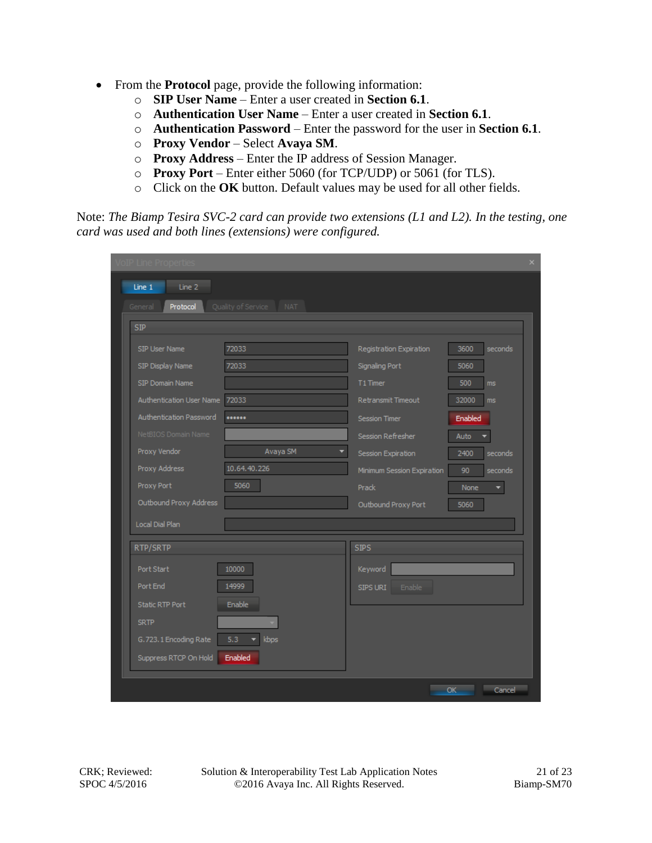- From the **Protocol** page, provide the following information:
	- o **SIP User Name** Enter a user created in **Section 6.1**.
	- o **Authentication User Name** Enter a user created in **Section 6.1**.
	- o **Authentication Password** Enter the password for the user in **Section 6.1**.
	- o **Proxy Vendor** Select **Avaya SM**.
	- o **Proxy Address** Enter the IP address of Session Manager.
	- o **Proxy Port** Enter either 5060 (for TCP/UDP) or 5061 (for TLS).
	- o Click on the **OK** button. Default values may be used for all other fields.

Note: *The Biamp Tesira SVC-2 card can provide two extensions (L1 and L2). In the testing, one card was used and both lines (extensions) were configured.*

| VoIP Line Properti             |                                  |                            |                 |
|--------------------------------|----------------------------------|----------------------------|-----------------|
| Line 1<br>Line 2               |                                  |                            |                 |
| Protocol<br>General            | Quality of Service<br><b>NAT</b> |                            |                 |
| <b>SIP</b>                     |                                  |                            |                 |
| SIP User Name                  | 72033                            | Registration Expiration    | 3600<br>seconds |
| SIP Display Name               | 72033                            | Signaling Port             | 5060            |
| SIP Domain Name                |                                  | T1 Timer                   | 500<br>ms       |
| Authentication User Name 72033 |                                  | <b>Retransmit Timeout</b>  | 32000<br>ms     |
| Authentication Password        |                                  | <b>Session Timer</b>       | Enabled         |
| NetBIOS Domain Name            |                                  | Session Refresher          | Auto            |
| Proxy Vendor                   | Avaya SM                         | Session Expiration         | 2400<br>seconds |
| Proxy Address                  | 10.64.40.226                     | Minimum Session Expiration | 90<br>seconds   |
| Proxy Port                     | 5060                             | <b>Prack</b>               | None            |
| Outbound Proxy Address         |                                  | Outbound Proxy Port        | 5060            |
| Local Dial Plan                |                                  |                            |                 |
| RTP/SRTP                       |                                  | <b>SIPS</b>                |                 |
| Port Start                     | 10000                            | Keyword                    |                 |
| Port End                       | 14999                            | SIPS URI<br>Enable         |                 |
| <b>Static RTP Port</b>         | Enable                           |                            |                 |
| <b>SRTP</b>                    |                                  |                            |                 |
| G.723.1 Encoding Rate          | 5.3<br>kbps<br>۰                 |                            |                 |
| Suppress RTCP On Hold          | Enabled                          |                            |                 |
|                                |                                  |                            |                 |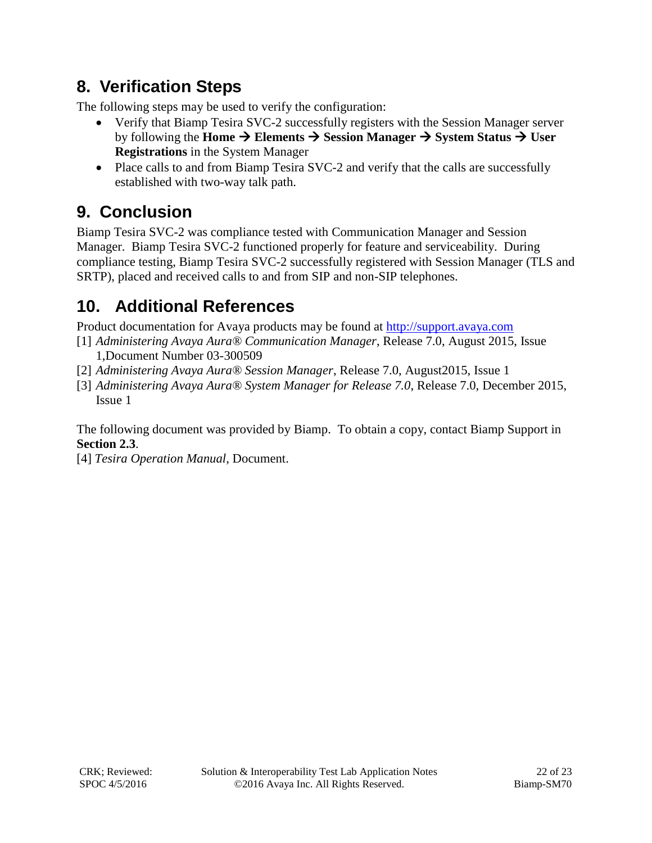## **8. Verification Steps**

The following steps may be used to verify the configuration:

- Verify that Biamp Tesira SVC-2 successfully registers with the Session Manager server by following the **Home**  $\rightarrow$  **Elements**  $\rightarrow$  Session Manager  $\rightarrow$  System Status  $\rightarrow$  User **Registrations** in the System Manager
- Place calls to and from Biamp Tesira SVC-2 and verify that the calls are successfully established with two-way talk path.

# **9. Conclusion**

Biamp Tesira SVC-2 was compliance tested with Communication Manager and Session Manager. Biamp Tesira SVC-2 functioned properly for feature and serviceability. During compliance testing, Biamp Tesira SVC-2 successfully registered with Session Manager (TLS and SRTP), placed and received calls to and from SIP and non-SIP telephones.

## **10. Additional References**

Product documentation for Avaya products may be found at [http://support.avaya.com](http://support.avaya.com/)

- [1] *Administering Avaya Aura® Communication Manager*, Release 7.0, August 2015, Issue 1,Document Number 03-300509
- [2] *Administering Avaya Aura® Session Manager*, Release 7.0, August2015, Issue 1
- [3] *Administering Avaya Aura® System Manager for Release 7.0*, Release 7.0, December 2015, Issue 1

The following document was provided by Biamp. To obtain a copy, contact Biamp Support in **Section 2.3**.

[4] *Tesira Operation Manual*, Document.